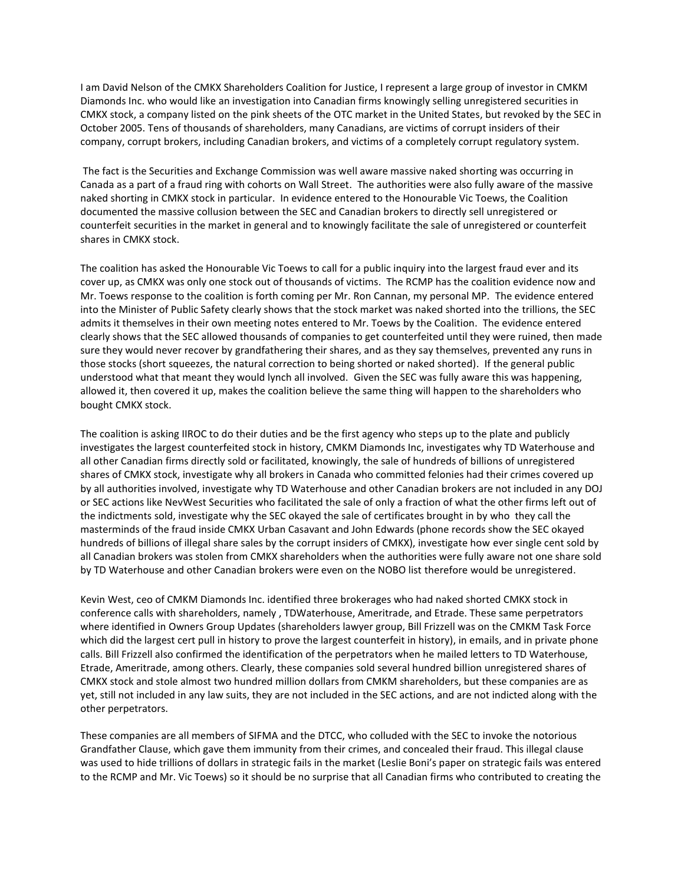I am David Nelson of the CMKX Shareholders Coalition for Justice, I represent a large group of investor in CMKM Diamonds Inc. who would like an investigation into Canadian firms knowingly selling unregistered securities in CMKX stock, a company listed on the pink sheets of the OTC market in the United States, but revoked by the SEC in October 2005. Tens of thousands of shareholders, many Canadians, are victims of corrupt insiders of their company, corrupt brokers, including Canadian brokers, and victims of a completely corrupt regulatory system.

The fact is the Securities and Exchange Commission was well aware massive naked shorting was occurring in Canada as a part of a fraud ring with cohorts on Wall Street. The authorities were also fully aware of the massive naked shorting in CMKX stock in particular. In evidence entered to the Honourable Vic Toews, the Coalition documented the massive collusion between the SEC and Canadian brokers to directly sell unregistered or counterfeit securities in the market in general and to knowingly facilitate the sale of unregistered or counterfeit shares in CMKX stock.

The coalition has asked the Honourable Vic Toews to call for a public inquiry into the largest fraud ever and its cover up, as CMKX was only one stock out of thousands of victims. The RCMP has the coalition evidence now and Mr. Toews response to the coalition is forth coming per Mr. Ron Cannan, my personal MP. The evidence entered into the Minister of Public Safety clearly shows that the stock market was naked shorted into the trillions, the SEC admits it themselves in their own meeting notes entered to Mr. Toews by the Coalition. The evidence entered clearly shows that the SEC allowed thousands of companies to get counterfeited until they were ruined, then made sure they would never recover by grandfathering their shares, and as they say themselves, prevented any runs in those stocks (short squeezes, the natural correction to being shorted or naked shorted). If the general public understood what that meant they would lynch all involved. Given the SEC was fully aware this was happening, allowed it, then covered it up, makes the coalition believe the same thing will happen to the shareholders who bought CMKX stock.

The coalition is asking IIROC to do their duties and be the first agency who steps up to the plate and publicly investigates the largest counterfeited stock in history, CMKM Diamonds Inc, investigates why TD Waterhouse and all other Canadian firms directly sold or facilitated, knowingly, the sale of hundreds of billions of unregistered shares of CMKX stock, investigate why all brokers in Canada who committed felonies had their crimes covered up by all authorities involved, investigate why TD Waterhouse and other Canadian brokers are not included in any DOJ or SEC actions like NevWest Securities who facilitated the sale of only a fraction of what the other firms left out of the indictments sold, investigate why the SEC okayed the sale of certificates brought in by who they call the masterminds of the fraud inside CMKX Urban Casavant and John Edwards (phone records show the SEC okayed hundreds of billions of illegal share sales by the corrupt insiders of CMKX), investigate how ever single cent sold by all Canadian brokers was stolen from CMKX shareholders when the authorities were fully aware not one share sold by TD Waterhouse and other Canadian brokers were even on the NOBO list therefore would be unregistered.

Kevin West, ceo of CMKM Diamonds Inc. identified three brokerages who had naked shorted CMKX stock in conference calls with shareholders, namely , TDWaterhouse, Ameritrade, and Etrade. These same perpetrators where identified in Owners Group Updates (shareholders lawyer group, Bill Frizzell was on the CMKM Task Force which did the largest cert pull in history to prove the largest counterfeit in history), in emails, and in private phone calls. Bill Frizzell also confirmed the identification of the perpetrators when he mailed letters to TD Waterhouse, Etrade, Ameritrade, among others. Clearly, these companies sold several hundred billion unregistered shares of CMKX stock and stole almost two hundred million dollars from CMKM shareholders, but these companies are as yet, still not included in any law suits, they are not included in the SEC actions, and are not indicted along with the other perpetrators.

These companies are all members of SIFMA and the DTCC, who colluded with the SEC to invoke the notorious Grandfather Clause, which gave them immunity from their crimes, and concealed their fraud. This illegal clause was used to hide trillions of dollars in strategic fails in the market (Leslie Boni's paper on strategic fails was entered to the RCMP and Mr. Vic Toews) so it should be no surprise that all Canadian firms who contributed to creating the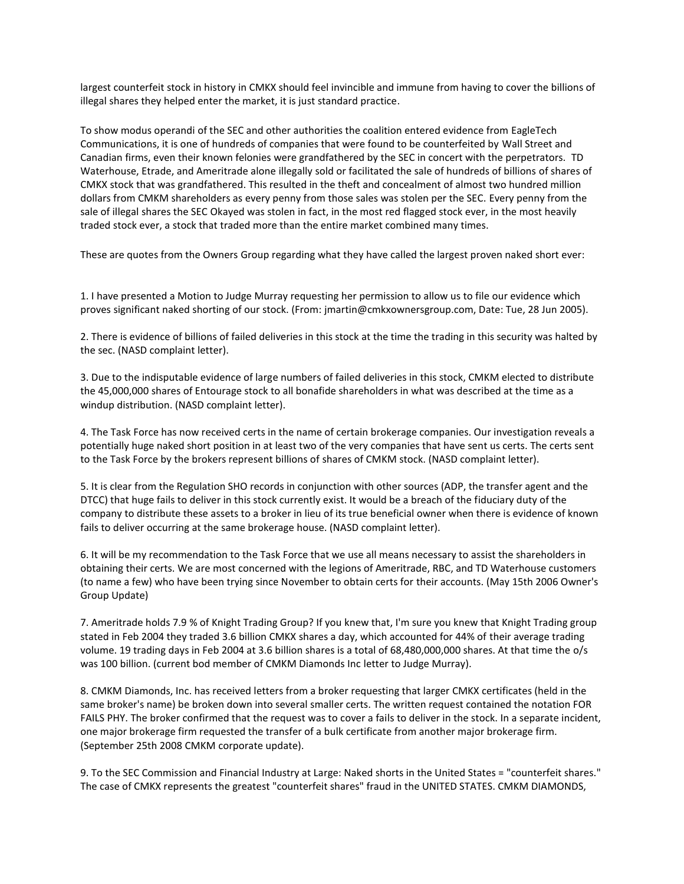largest counterfeit stock in history in CMKX should feel invincible and immune from having to cover the billions of illegal shares they helped enter the market, it is just standard practice.

To show modus operandi of the SEC and other authorities the coalition entered evidence from EagleTech Communications, it is one of hundreds of companies that were found to be counterfeited by Wall Street and Canadian firms, even their known felonies were grandfathered by the SEC in concert with the perpetrators. TD Waterhouse, Etrade, and Ameritrade alone illegally sold or facilitated the sale of hundreds of billions of shares of CMKX stock that was grandfathered. This resulted in the theft and concealment of almost two hundred million dollars from CMKM shareholders as every penny from those sales was stolen per the SEC. Every penny from the sale of illegal shares the SEC Okayed was stolen in fact, in the most red flagged stock ever, in the most heavily traded stock ever, a stock that traded more than the entire market combined many times.

These are quotes from the Owners Group regarding what they have called the largest proven naked short ever:

1. I have presented a Motion to Judge Murray requesting her permission to allow us to file our evidence which proves significant naked shorting of our stock. (From: jmartin@cmkxownersgroup.com, Date: Tue, 28 Jun 2005).

2. There is evidence of billions of failed deliveries in this stock at the time the trading in this security was halted by the sec. (NASD complaint letter).

3. Due to the indisputable evidence of large numbers of failed deliveries in this stock, CMKM elected to distribute the 45,000,000 shares of Entourage stock to all bonafide shareholders in what was described at the time as a windup distribution. (NASD complaint letter).

4. The Task Force has now received certs in the name of certain brokerage companies. Our investigation reveals a potentially huge naked short position in at least two of the very companies that have sent us certs. The certs sent to the Task Force by the brokers represent billions of shares of CMKM stock. (NASD complaint letter).

5. It is clear from the Regulation SHO records in conjunction with other sources (ADP, the transfer agent and the DTCC) that huge fails to deliver in this stock currently exist. It would be a breach of the fiduciary duty of the company to distribute these assets to a broker in lieu of its true beneficial owner when there is evidence of known fails to deliver occurring at the same brokerage house. (NASD complaint letter).

6. It will be my recommendation to the Task Force that we use all means necessary to assist the shareholders in obtaining their certs. We are most concerned with the legions of Ameritrade, RBC, and TD Waterhouse customers (to name a few) who have been trying since November to obtain certs for their accounts. (May 15th 2006 Owner's Group Update)

7. Ameritrade holds 7.9 % of Knight Trading Group? If you knew that, I'm sure you knew that Knight Trading group stated in Feb 2004 they traded 3.6 billion CMKX shares a day, which accounted for 44% of their average trading volume. 19 trading days in Feb 2004 at 3.6 billion shares is a total of 68,480,000,000 shares. At that time the o/s was 100 billion. (current bod member of CMKM Diamonds Inc letter to Judge Murray).

8. CMKM Diamonds, Inc. has received letters from a broker requesting that larger CMKX certificates (held in the same broker's name) be broken down into several smaller certs. The written request contained the notation FOR FAILS PHY. The broker confirmed that the request was to cover a fails to deliver in the stock. In a separate incident, one major brokerage firm requested the transfer of a bulk certificate from another major brokerage firm. (September 25th 2008 CMKM corporate update).

9. To the SEC Commission and Financial Industry at Large: Naked shorts in the United States = "counterfeit shares." The case of CMKX represents the greatest "counterfeit shares" fraud in the UNITED STATES. CMKM DIAMONDS,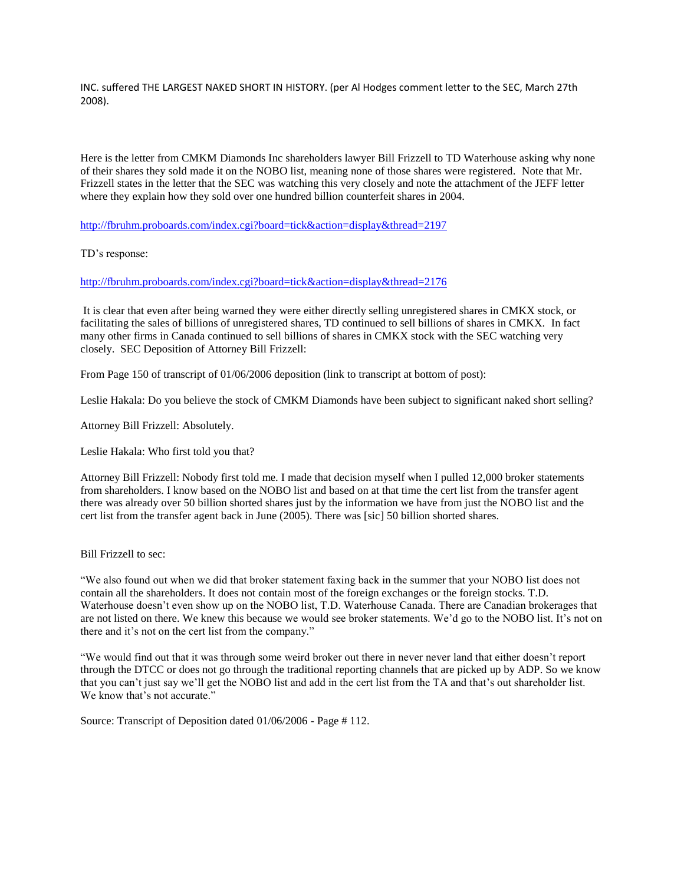INC. suffered THE LARGEST NAKED SHORT IN HISTORY. (per Al Hodges comment letter to the SEC, March 27th 2008).

Here is the letter from CMKM Diamonds Inc shareholders lawyer Bill Frizzell to TD Waterhouse asking why none of their shares they sold made it on the NOBO list, meaning none of those shares were registered. Note that Mr. Frizzell states in the letter that the SEC was watching this very closely and note the attachment of the JEFF letter where they explain how they sold over one hundred billion counterfeit shares in 2004.

<http://fbruhm.proboards.com/index.cgi?board=tick&action=display&thread=2197>

TD's response:

<http://fbruhm.proboards.com/index.cgi?board=tick&action=display&thread=2176>

It is clear that even after being warned they were either directly selling unregistered shares in CMKX stock, or facilitating the sales of billions of unregistered shares, TD continued to sell billions of shares in CMKX. In fact many other firms in Canada continued to sell billions of shares in CMKX stock with the SEC watching very closely. SEC Deposition of Attorney Bill Frizzell:

From Page 150 of transcript of 01/06/2006 deposition (link to transcript at bottom of post):

Leslie Hakala: Do you believe the stock of CMKM Diamonds have been subject to significant naked short selling?

Attorney Bill Frizzell: Absolutely.

Leslie Hakala: Who first told you that?

Attorney Bill Frizzell: Nobody first told me. I made that decision myself when I pulled 12,000 broker statements from shareholders. I know based on the NOBO list and based on at that time the cert list from the transfer agent there was already over 50 billion shorted shares just by the information we have from just the NOBO list and the cert list from the transfer agent back in June (2005). There was [sic] 50 billion shorted shares.

Bill Frizzell to sec:

"We also found out when we did that broker statement faxing back in the summer that your NOBO list does not contain all the shareholders. It does not contain most of the foreign exchanges or the foreign stocks. T.D. Waterhouse doesn't even show up on the NOBO list, T.D. Waterhouse Canada. There are Canadian brokerages that are not listed on there. We knew this because we would see broker statements. We'd go to the NOBO list. It's not on there and it's not on the cert list from the company."

"We would find out that it was through some weird broker out there in never never land that either doesn't report through the DTCC or does not go through the traditional reporting channels that are picked up by ADP. So we know that you can't just say we'll get the NOBO list and add in the cert list from the TA and that's out shareholder list. We know that's not accurate."

Source: Transcript of Deposition dated 01/06/2006 - Page # 112.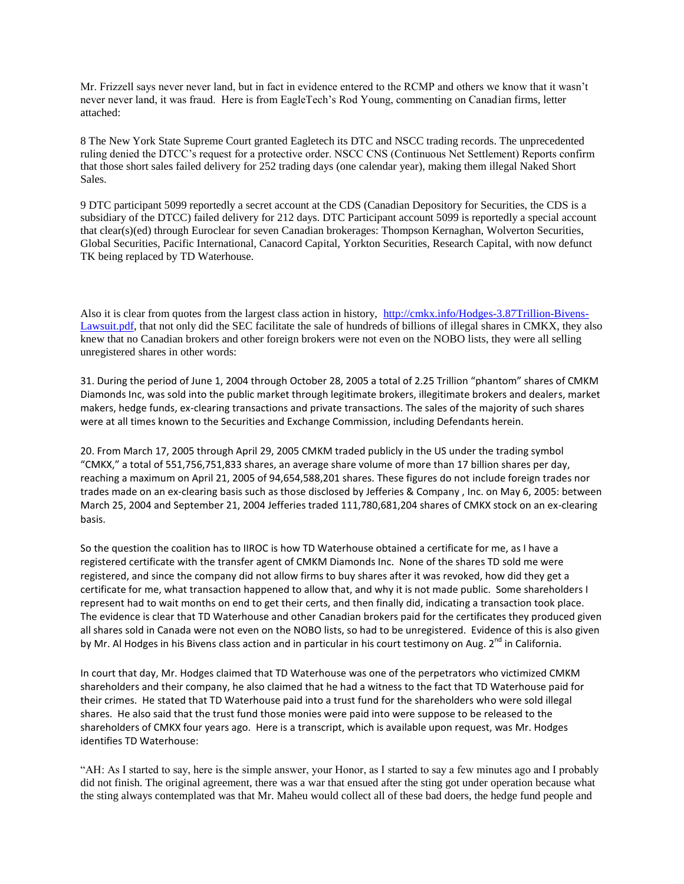Mr. Frizzell says never never land, but in fact in evidence entered to the RCMP and others we know that it wasn't never never land, it was fraud. Here is from EagleTech's Rod Young, commenting on Canadian firms, letter attached:

8 The New York State Supreme Court granted Eagletech its DTC and NSCC trading records. The unprecedented ruling denied the DTCC's request for a protective order. NSCC CNS (Continuous Net Settlement) Reports confirm that those short sales failed delivery for 252 trading days (one calendar year), making them illegal Naked Short Sales.

9 DTC participant 5099 reportedly a secret account at the CDS (Canadian Depository for Securities, the CDS is a subsidiary of the DTCC) failed delivery for 212 days. DTC Participant account 5099 is reportedly a special account that clear(s)(ed) through Euroclear for seven Canadian brokerages: Thompson Kernaghan, Wolverton Securities, Global Securities, Pacific International, Canacord Capital, Yorkton Securities, Research Capital, with now defunct TK being replaced by TD Waterhouse.

Also it is clear from quotes from the largest class action in history, [http://cmkx.info/Hodges-3.87Trillion-Bivens-](http://cmkx.info/Hodges-3.87Trillion-Bivens-Lawsuit.pdf)[Lawsuit.pdf,](http://cmkx.info/Hodges-3.87Trillion-Bivens-Lawsuit.pdf) that not only did the SEC facilitate the sale of hundreds of billions of illegal shares in CMKX, they also knew that no Canadian brokers and other foreign brokers were not even on the NOBO lists, they were all selling unregistered shares in other words:

31. During the period of June 1, 2004 through October 28, 2005 a total of 2.25 Trillion "phantom" shares of CMKM Diamonds Inc, was sold into the public market through legitimate brokers, illegitimate brokers and dealers, market makers, hedge funds, ex-clearing transactions and private transactions. The sales of the majority of such shares were at all times known to the Securities and Exchange Commission, including Defendants herein.

20. From March 17, 2005 through April 29, 2005 CMKM traded publicly in the US under the trading symbol "CMKX," a total of 551,756,751,833 shares, an average share volume of more than 17 billion shares per day, reaching a maximum on April 21, 2005 of 94,654,588,201 shares. These figures do not include foreign trades nor trades made on an ex-clearing basis such as those disclosed by Jefferies & Company , Inc. on May 6, 2005: between March 25, 2004 and September 21, 2004 Jefferies traded 111,780,681,204 shares of CMKX stock on an ex-clearing basis.

So the question the coalition has to IIROC is how TD Waterhouse obtained a certificate for me, as I have a registered certificate with the transfer agent of CMKM Diamonds Inc. None of the shares TD sold me were registered, and since the company did not allow firms to buy shares after it was revoked, how did they get a certificate for me, what transaction happened to allow that, and why it is not made public. Some shareholders I represent had to wait months on end to get their certs, and then finally did, indicating a transaction took place. The evidence is clear that TD Waterhouse and other Canadian brokers paid for the certificates they produced given all shares sold in Canada were not even on the NOBO lists, so had to be unregistered. Evidence of this is also given by Mr. Al Hodges in his Bivens class action and in particular in his court testimony on Aug. 2<sup>nd</sup> in California.

In court that day, Mr. Hodges claimed that TD Waterhouse was one of the perpetrators who victimized CMKM shareholders and their company, he also claimed that he had a witness to the fact that TD Waterhouse paid for their crimes. He stated that TD Waterhouse paid into a trust fund for the shareholders who were sold illegal shares. He also said that the trust fund those monies were paid into were suppose to be released to the shareholders of CMKX four years ago. Here is a transcript, which is available upon request, was Mr. Hodges identifies TD Waterhouse:

"AH: As I started to say, here is the simple answer, your Honor, as I started to say a few minutes ago and I probably did not finish. The original agreement, there was a war that ensued after the sting got under operation because what the sting always contemplated was that Mr. Maheu would collect all of these bad doers, the hedge fund people and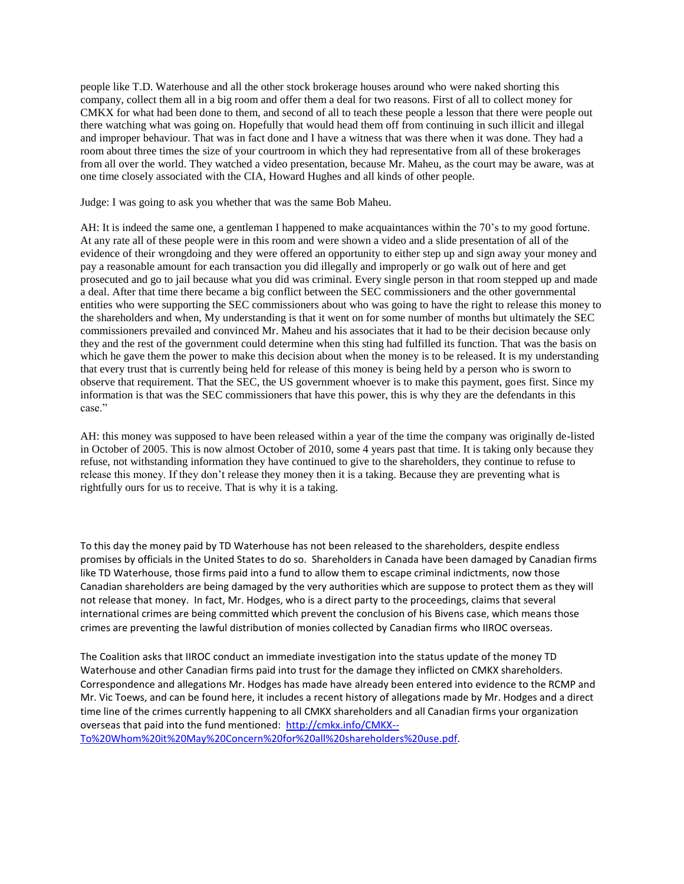people like T.D. Waterhouse and all the other stock brokerage houses around who were naked shorting this company, collect them all in a big room and offer them a deal for two reasons. First of all to collect money for CMKX for what had been done to them, and second of all to teach these people a lesson that there were people out there watching what was going on. Hopefully that would head them off from continuing in such illicit and illegal and improper behaviour. That was in fact done and I have a witness that was there when it was done. They had a room about three times the size of your courtroom in which they had representative from all of these brokerages from all over the world. They watched a video presentation, because Mr. Maheu, as the court may be aware, was at one time closely associated with the CIA, Howard Hughes and all kinds of other people.

Judge: I was going to ask you whether that was the same Bob Maheu.

AH: It is indeed the same one, a gentleman I happened to make acquaintances within the 70's to my good fortune. At any rate all of these people were in this room and were shown a video and a slide presentation of all of the evidence of their wrongdoing and they were offered an opportunity to either step up and sign away your money and pay a reasonable amount for each transaction you did illegally and improperly or go walk out of here and get prosecuted and go to jail because what you did was criminal. Every single person in that room stepped up and made a deal. After that time there became a big conflict between the SEC commissioners and the other governmental entities who were supporting the SEC commissioners about who was going to have the right to release this money to the shareholders and when, My understanding is that it went on for some number of months but ultimately the SEC commissioners prevailed and convinced Mr. Maheu and his associates that it had to be their decision because only they and the rest of the government could determine when this sting had fulfilled its function. That was the basis on which he gave them the power to make this decision about when the money is to be released. It is my understanding that every trust that is currently being held for release of this money is being held by a person who is sworn to observe that requirement. That the SEC, the US government whoever is to make this payment, goes first. Since my information is that was the SEC commissioners that have this power, this is why they are the defendants in this case."

AH: this money was supposed to have been released within a year of the time the company was originally de-listed in October of 2005. This is now almost October of 2010, some 4 years past that time. It is taking only because they refuse, not withstanding information they have continued to give to the shareholders, they continue to refuse to release this money. If they don't release they money then it is a taking. Because they are preventing what is rightfully ours for us to receive. That is why it is a taking.

To this day the money paid by TD Waterhouse has not been released to the shareholders, despite endless promises by officials in the United States to do so. Shareholders in Canada have been damaged by Canadian firms like TD Waterhouse, those firms paid into a fund to allow them to escape criminal indictments, now those Canadian shareholders are being damaged by the very authorities which are suppose to protect them as they will not release that money. In fact, Mr. Hodges, who is a direct party to the proceedings, claims that several international crimes are being committed which prevent the conclusion of his Bivens case, which means those crimes are preventing the lawful distribution of monies collected by Canadian firms who IIROC overseas.

The Coalition asks that IIROC conduct an immediate investigation into the status update of the money TD Waterhouse and other Canadian firms paid into trust for the damage they inflicted on CMKX shareholders. Correspondence and allegations Mr. Hodges has made have already been entered into evidence to the RCMP and Mr. Vic Toews, and can be found here, it includes a recent history of allegations made by Mr. Hodges and a direct time line of the crimes currently happening to all CMKX shareholders and all Canadian firms your organization overseas that paid into the fund mentioned: [http://cmkx.info/CMKX--](http://cmkx.info/CMKX--To%20Whom%20it%20May%20Concern%20for%20all%20shareholders%20use.pdf) [To%20Whom%20it%20May%20Concern%20for%20all%20shareholders%20use.pdf.](http://cmkx.info/CMKX--To%20Whom%20it%20May%20Concern%20for%20all%20shareholders%20use.pdf)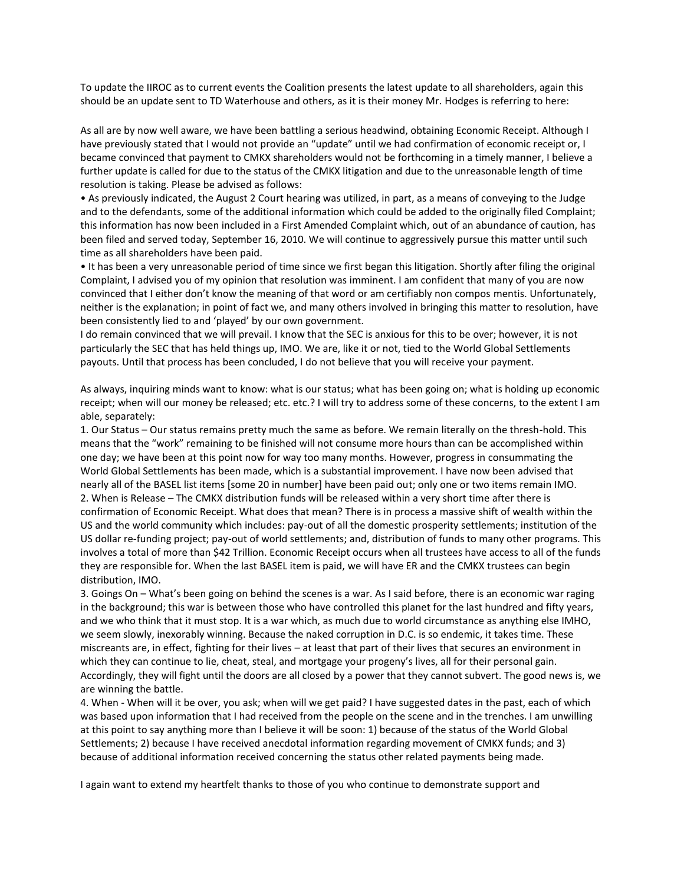To update the IIROC as to current events the Coalition presents the latest update to all shareholders, again this should be an update sent to TD Waterhouse and others, as it is their money Mr. Hodges is referring to here:

As all are by now well aware, we have been battling a serious headwind, obtaining Economic Receipt. Although I have previously stated that I would not provide an "update" until we had confirmation of economic receipt or, I became convinced that payment to CMKX shareholders would not be forthcoming in a timely manner, I believe a further update is called for due to the status of the CMKX litigation and due to the unreasonable length of time resolution is taking. Please be advised as follows:

• As previously indicated, the August 2 Court hearing was utilized, in part, as a means of conveying to the Judge and to the defendants, some of the additional information which could be added to the originally filed Complaint; this information has now been included in a First Amended Complaint which, out of an abundance of caution, has been filed and served today, September 16, 2010. We will continue to aggressively pursue this matter until such time as all shareholders have been paid.

• It has been a very unreasonable period of time since we first began this litigation. Shortly after filing the original Complaint, I advised you of my opinion that resolution was imminent. I am confident that many of you are now convinced that I either don't know the meaning of that word or am certifiably non compos mentis. Unfortunately, neither is the explanation; in point of fact we, and many others involved in bringing this matter to resolution, have been consistently lied to and 'played' by our own government.

I do remain convinced that we will prevail. I know that the SEC is anxious for this to be over; however, it is not particularly the SEC that has held things up, IMO. We are, like it or not, tied to the World Global Settlements payouts. Until that process has been concluded, I do not believe that you will receive your payment.

As always, inquiring minds want to know: what is our status; what has been going on; what is holding up economic receipt; when will our money be released; etc. etc.? I will try to address some of these concerns, to the extent I am able, separately:

1. Our Status – Our status remains pretty much the same as before. We remain literally on the thresh-hold. This means that the "work" remaining to be finished will not consume more hours than can be accomplished within one day; we have been at this point now for way too many months. However, progress in consummating the World Global Settlements has been made, which is a substantial improvement. I have now been advised that nearly all of the BASEL list items [some 20 in number] have been paid out; only one or two items remain IMO. 2. When is Release – The CMKX distribution funds will be released within a very short time after there is confirmation of Economic Receipt. What does that mean? There is in process a massive shift of wealth within the US and the world community which includes: pay-out of all the domestic prosperity settlements; institution of the US dollar re-funding project; pay-out of world settlements; and, distribution of funds to many other programs. This involves a total of more than \$42 Trillion. Economic Receipt occurs when all trustees have access to all of the funds they are responsible for. When the last BASEL item is paid, we will have ER and the CMKX trustees can begin distribution, IMO.

3. Goings On – What's been going on behind the scenes is a war. As I said before, there is an economic war raging in the background; this war is between those who have controlled this planet for the last hundred and fifty years, and we who think that it must stop. It is a war which, as much due to world circumstance as anything else IMHO, we seem slowly, inexorably winning. Because the naked corruption in D.C. is so endemic, it takes time. These miscreants are, in effect, fighting for their lives – at least that part of their lives that secures an environment in which they can continue to lie, cheat, steal, and mortgage your progeny's lives, all for their personal gain. Accordingly, they will fight until the doors are all closed by a power that they cannot subvert. The good news is, we are winning the battle.

4. When - When will it be over, you ask; when will we get paid? I have suggested dates in the past, each of which was based upon information that I had received from the people on the scene and in the trenches. I am unwilling at this point to say anything more than I believe it will be soon: 1) because of the status of the World Global Settlements; 2) because I have received anecdotal information regarding movement of CMKX funds; and 3) because of additional information received concerning the status other related payments being made.

I again want to extend my heartfelt thanks to those of you who continue to demonstrate support and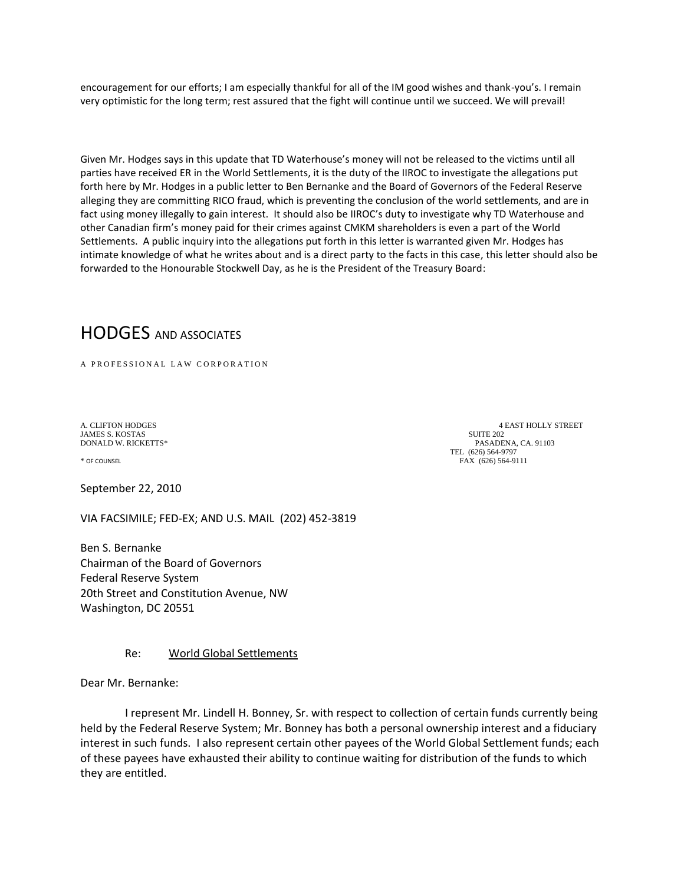encouragement for our efforts; I am especially thankful for all of the IM good wishes and thank-you's. I remain very optimistic for the long term; rest assured that the fight will continue until we succeed. We will prevail!

Given Mr. Hodges says in this update that TD Waterhouse's money will not be released to the victims until all parties have received ER in the World Settlements, it is the duty of the IIROC to investigate the allegations put forth here by Mr. Hodges in a public letter to Ben Bernanke and the Board of Governors of the Federal Reserve alleging they are committing RICO fraud, which is preventing the conclusion of the world settlements, and are in fact using money illegally to gain interest. It should also be IIROC's duty to investigate why TD Waterhouse and other Canadian firm's money paid for their crimes against CMKM shareholders is even a part of the World Settlements. A public inquiry into the allegations put forth in this letter is warranted given Mr. Hodges has intimate knowledge of what he writes about and is a direct party to the facts in this case, this letter should also be forwarded to the Honourable Stockwell Day, as he is the President of the Treasury Board:

# HODGES AND ASSOCIATES

A PROFESSIONAL LAW CORPORATION

**JAMES S. KOSTAS** 

September 22, 2010

VIA FACSIMILE; FED-EX; AND U.S. MAIL (202) 452-3819

Ben S. Bernanke Chairman of the Board of Governors Federal Reserve System 20th Street and Constitution Avenue, NW Washington, DC 20551

# Re: World Global Settlements

Dear Mr. Bernanke:

 I represent Mr. Lindell H. Bonney, Sr. with respect to collection of certain funds currently being held by the Federal Reserve System; Mr. Bonney has both a personal ownership interest and a fiduciary interest in such funds. I also represent certain other payees of the World Global Settlement funds; each of these payees have exhausted their ability to continue waiting for distribution of the funds to which they are entitled.

A. CLIFTON HODGES 4 EAST HOLLY STREET<br>
14 AMES S. KOSTAS 4 AMES S. A SUITE 202 DONALD W. RICKETTS\* PASADENA, CA. 91103 TEL (626) 564-9797<br>\* OF COUNSEL (626) 564-9797 – FAX FAX (626) 564-9111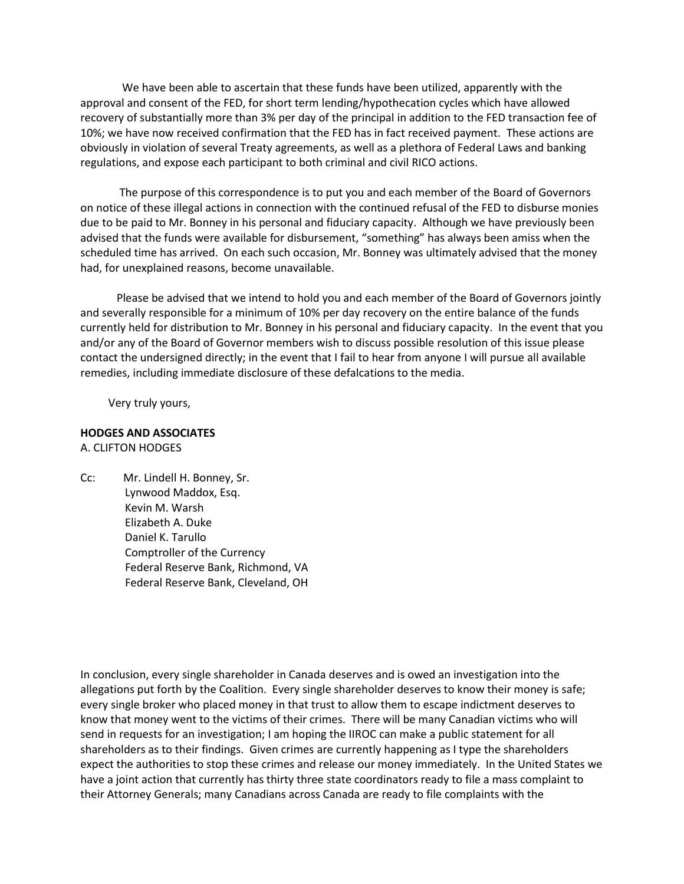We have been able to ascertain that these funds have been utilized, apparently with the approval and consent of the FED, for short term lending/hypothecation cycles which have allowed recovery of substantially more than 3% per day of the principal in addition to the FED transaction fee of 10%; we have now received confirmation that the FED has in fact received payment. These actions are obviously in violation of several Treaty agreements, as well as a plethora of Federal Laws and banking regulations, and expose each participant to both criminal and civil RICO actions.

 The purpose of this correspondence is to put you and each member of the Board of Governors on notice of these illegal actions in connection with the continued refusal of the FED to disburse monies due to be paid to Mr. Bonney in his personal and fiduciary capacity. Although we have previously been advised that the funds were available for disbursement, "something" has always been amiss when the scheduled time has arrived. On each such occasion, Mr. Bonney was ultimately advised that the money had, for unexplained reasons, become unavailable.

 Please be advised that we intend to hold you and each member of the Board of Governors jointly and severally responsible for a minimum of 10% per day recovery on the entire balance of the funds currently held for distribution to Mr. Bonney in his personal and fiduciary capacity. In the event that you and/or any of the Board of Governor members wish to discuss possible resolution of this issue please contact the undersigned directly; in the event that I fail to hear from anyone I will pursue all available remedies, including immediate disclosure of these defalcations to the media.

Very truly yours,

# **HODGES AND ASSOCIATES** A. CLIFTON HODGES

Cc: Mr. Lindell H. Bonney, Sr. Lynwood Maddox, Esq. Kevin M. Warsh Elizabeth A. Duke Daniel K. Tarullo Comptroller of the Currency Federal Reserve Bank, Richmond, VA Federal Reserve Bank, Cleveland, OH

In conclusion, every single shareholder in Canada deserves and is owed an investigation into the allegations put forth by the Coalition. Every single shareholder deserves to know their money is safe; every single broker who placed money in that trust to allow them to escape indictment deserves to know that money went to the victims of their crimes. There will be many Canadian victims who will send in requests for an investigation; I am hoping the IIROC can make a public statement for all shareholders as to their findings. Given crimes are currently happening as I type the shareholders expect the authorities to stop these crimes and release our money immediately. In the United States we have a joint action that currently has thirty three state coordinators ready to file a mass complaint to their Attorney Generals; many Canadians across Canada are ready to file complaints with the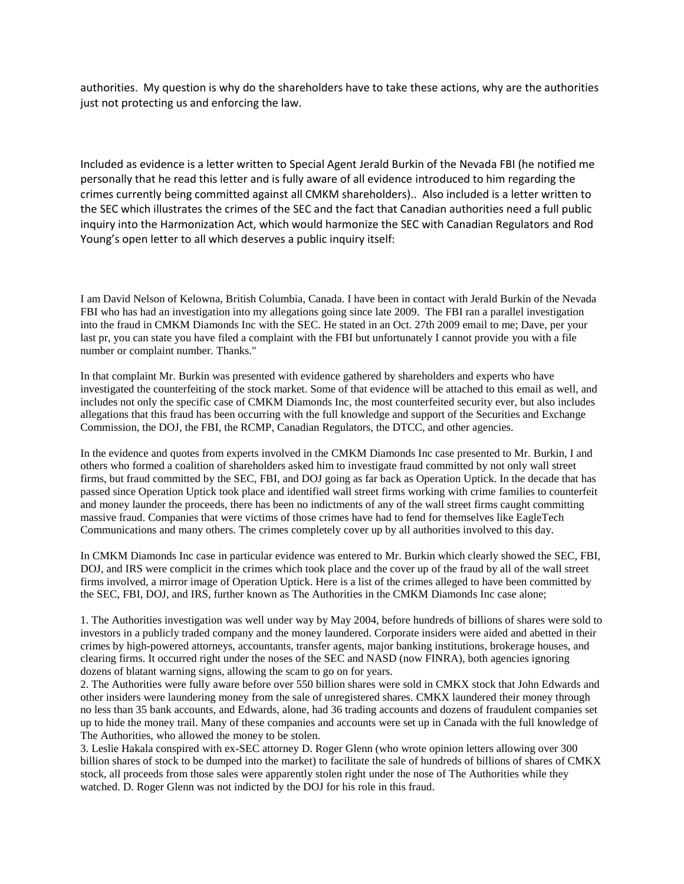authorities. My question is why do the shareholders have to take these actions, why are the authorities just not protecting us and enforcing the law.

Included as evidence is a letter written to Special Agent Jerald Burkin of the Nevada FBI (he notified me personally that he read this letter and is fully aware of all evidence introduced to him regarding the crimes currently being committed against all CMKM shareholders).. Also included is a letter written to the SEC which illustrates the crimes of the SEC and the fact that Canadian authorities need a full public inquiry into the Harmonization Act, which would harmonize the SEC with Canadian Regulators and Rod Young's open letter to all which deserves a public inquiry itself:

I am David Nelson of Kelowna, British Columbia, Canada. I have been in contact with Jerald Burkin of the Nevada FBI who has had an investigation into my allegations going since late 2009. The FBI ran a parallel investigation into the fraud in CMKM Diamonds Inc with the SEC. He stated in an Oct. 27th 2009 email to me; Dave, per your last pr, you can state you have filed a complaint with the FBI but unfortunately I cannot provide you with a file number or complaint number. Thanks."

In that complaint Mr. Burkin was presented with evidence gathered by shareholders and experts who have investigated the counterfeiting of the stock market. Some of that evidence will be attached to this email as well, and includes not only the specific case of CMKM Diamonds Inc, the most counterfeited security ever, but also includes allegations that this fraud has been occurring with the full knowledge and support of the Securities and Exchange Commission, the DOJ, the FBI, the RCMP, Canadian Regulators, the DTCC, and other agencies.

In the evidence and quotes from experts involved in the CMKM Diamonds Inc case presented to Mr. Burkin, I and others who formed a coalition of shareholders asked him to investigate fraud committed by not only wall street firms, but fraud committed by the SEC, FBI, and DOJ going as far back as Operation Uptick. In the decade that has passed since Operation Uptick took place and identified wall street firms working with crime families to counterfeit and money launder the proceeds, there has been no indictments of any of the wall street firms caught committing massive fraud. Companies that were victims of those crimes have had to fend for themselves like EagleTech Communications and many others. The crimes completely cover up by all authorities involved to this day.

In CMKM Diamonds Inc case in particular evidence was entered to Mr. Burkin which clearly showed the SEC, FBI, DOJ, and IRS were complicit in the crimes which took place and the cover up of the fraud by all of the wall street firms involved, a mirror image of Operation Uptick. Here is a list of the crimes alleged to have been committed by the SEC, FBI, DOJ, and IRS, further known as The Authorities in the CMKM Diamonds Inc case alone;

1. The Authorities investigation was well under way by May 2004, before hundreds of billions of shares were sold to investors in a publicly traded company and the money laundered. Corporate insiders were aided and abetted in their crimes by high-powered attorneys, accountants, transfer agents, major banking institutions, brokerage houses, and clearing firms. It occurred right under the noses of the SEC and NASD (now FINRA), both agencies ignoring dozens of blatant warning signs, allowing the scam to go on for years.

2. The Authorities were fully aware before over 550 billion shares were sold in CMKX stock that John Edwards and other insiders were laundering money from the sale of unregistered shares. CMKX laundered their money through no less than 35 bank accounts, and Edwards, alone, had 36 trading accounts and dozens of fraudulent companies set up to hide the money trail. Many of these companies and accounts were set up in Canada with the full knowledge of The Authorities, who allowed the money to be stolen.

3. Leslie Hakala conspired with ex-SEC attorney D. Roger Glenn (who wrote opinion letters allowing over 300 billion shares of stock to be dumped into the market) to facilitate the sale of hundreds of billions of shares of CMKX stock, all proceeds from those sales were apparently stolen right under the nose of The Authorities while they watched. D. Roger Glenn was not indicted by the DOJ for his role in this fraud.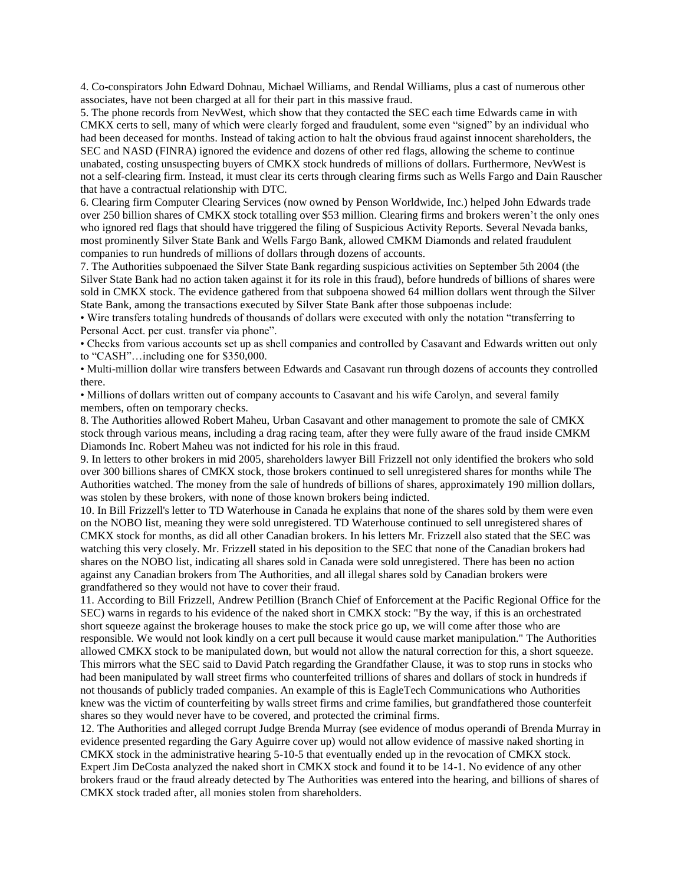4. Co-conspirators John Edward Dohnau, Michael Williams, and Rendal Williams, plus a cast of numerous other associates, have not been charged at all for their part in this massive fraud.

5. The phone records from NevWest, which show that they contacted the SEC each time Edwards came in with CMKX certs to sell, many of which were clearly forged and fraudulent, some even "signed" by an individual who had been deceased for months. Instead of taking action to halt the obvious fraud against innocent shareholders, the SEC and NASD (FINRA) ignored the evidence and dozens of other red flags, allowing the scheme to continue unabated, costing unsuspecting buyers of CMKX stock hundreds of millions of dollars. Furthermore, NevWest is not a self-clearing firm. Instead, it must clear its certs through clearing firms such as Wells Fargo and Dain Rauscher that have a contractual relationship with DTC.

6. Clearing firm Computer Clearing Services (now owned by Penson Worldwide, Inc.) helped John Edwards trade over 250 billion shares of CMKX stock totalling over \$53 million. Clearing firms and brokers weren't the only ones who ignored red flags that should have triggered the filing of Suspicious Activity Reports. Several Nevada banks, most prominently Silver State Bank and Wells Fargo Bank, allowed CMKM Diamonds and related fraudulent companies to run hundreds of millions of dollars through dozens of accounts.

7. The Authorities subpoenaed the Silver State Bank regarding suspicious activities on September 5th 2004 (the Silver State Bank had no action taken against it for its role in this fraud), before hundreds of billions of shares were sold in CMKX stock. The evidence gathered from that subpoena showed 64 million dollars went through the Silver State Bank, among the transactions executed by Silver State Bank after those subpoenas include:

• Wire transfers totaling hundreds of thousands of dollars were executed with only the notation "transferring to Personal Acct. per cust. transfer via phone".

• Checks from various accounts set up as shell companies and controlled by Casavant and Edwards written out only to "CASH"…including one for \$350,000.

• Multi-million dollar wire transfers between Edwards and Casavant run through dozens of accounts they controlled there.

• Millions of dollars written out of company accounts to Casavant and his wife Carolyn, and several family members, often on temporary checks.

8. The Authorities allowed Robert Maheu, Urban Casavant and other management to promote the sale of CMKX stock through various means, including a drag racing team, after they were fully aware of the fraud inside CMKM Diamonds Inc. Robert Maheu was not indicted for his role in this fraud.

9. In letters to other brokers in mid 2005, shareholders lawyer Bill Frizzell not only identified the brokers who sold over 300 billions shares of CMKX stock, those brokers continued to sell unregistered shares for months while The Authorities watched. The money from the sale of hundreds of billions of shares, approximately 190 million dollars, was stolen by these brokers, with none of those known brokers being indicted.

10. In Bill Frizzell's letter to TD Waterhouse in Canada he explains that none of the shares sold by them were even on the NOBO list, meaning they were sold unregistered. TD Waterhouse continued to sell unregistered shares of CMKX stock for months, as did all other Canadian brokers. In his letters Mr. Frizzell also stated that the SEC was watching this very closely. Mr. Frizzell stated in his deposition to the SEC that none of the Canadian brokers had shares on the NOBO list, indicating all shares sold in Canada were sold unregistered. There has been no action against any Canadian brokers from The Authorities, and all illegal shares sold by Canadian brokers were grandfathered so they would not have to cover their fraud.

11. According to Bill Frizzell, Andrew Petillion (Branch Chief of Enforcement at the Pacific Regional Office for the SEC) warns in regards to his evidence of the naked short in CMKX stock: "By the way, if this is an orchestrated short squeeze against the brokerage houses to make the stock price go up, we will come after those who are responsible. We would not look kindly on a cert pull because it would cause market manipulation." The Authorities allowed CMKX stock to be manipulated down, but would not allow the natural correction for this, a short squeeze. This mirrors what the SEC said to David Patch regarding the Grandfather Clause, it was to stop runs in stocks who had been manipulated by wall street firms who counterfeited trillions of shares and dollars of stock in hundreds if not thousands of publicly traded companies. An example of this is EagleTech Communications who Authorities knew was the victim of counterfeiting by walls street firms and crime families, but grandfathered those counterfeit shares so they would never have to be covered, and protected the criminal firms.

12. The Authorities and alleged corrupt Judge Brenda Murray (see evidence of modus operandi of Brenda Murray in evidence presented regarding the Gary Aguirre cover up) would not allow evidence of massive naked shorting in CMKX stock in the administrative hearing 5-10-5 that eventually ended up in the revocation of CMKX stock. Expert Jim DeCosta analyzed the naked short in CMKX stock and found it to be 14-1. No evidence of any other brokers fraud or the fraud already detected by The Authorities was entered into the hearing, and billions of shares of CMKX stock traded after, all monies stolen from shareholders.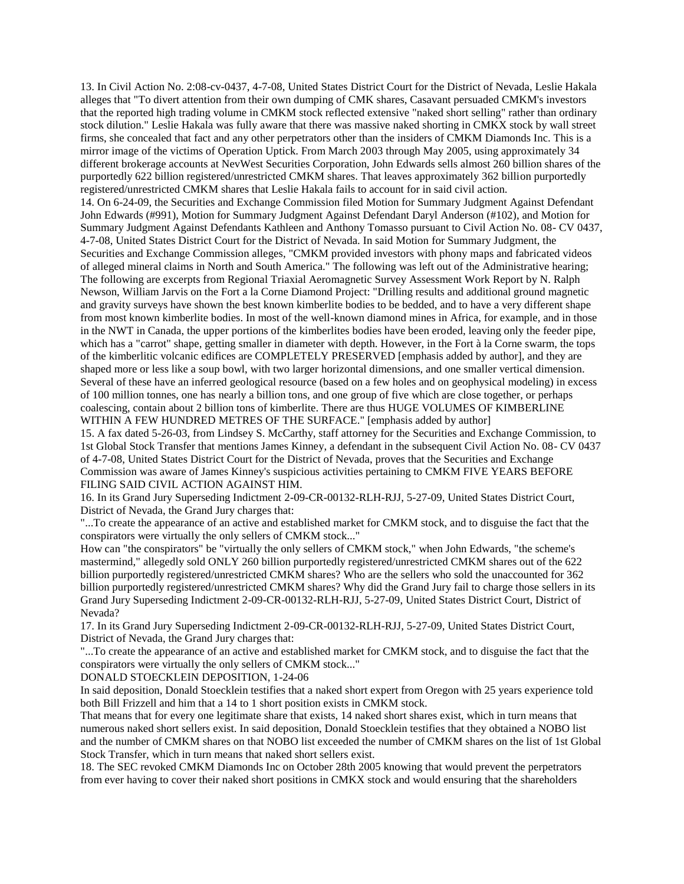13. In Civil Action No. 2:08-cv-0437, 4-7-08, United States District Court for the District of Nevada, Leslie Hakala alleges that "To divert attention from their own dumping of CMK shares, Casavant persuaded CMKM's investors that the reported high trading volume in CMKM stock reflected extensive "naked short selling" rather than ordinary stock dilution." Leslie Hakala was fully aware that there was massive naked shorting in CMKX stock by wall street firms, she concealed that fact and any other perpetrators other than the insiders of CMKM Diamonds Inc. This is a mirror image of the victims of Operation Uptick. From March 2003 through May 2005, using approximately 34 different brokerage accounts at NevWest Securities Corporation, John Edwards sells almost 260 billion shares of the purportedly 622 billion registered/unrestricted CMKM shares. That leaves approximately 362 billion purportedly registered/unrestricted CMKM shares that Leslie Hakala fails to account for in said civil action. 14. On 6-24-09, the Securities and Exchange Commission filed Motion for Summary Judgment Against Defendant John Edwards (#991), Motion for Summary Judgment Against Defendant Daryl Anderson (#102), and Motion for Summary Judgment Against Defendants Kathleen and Anthony Tomasso pursuant to Civil Action No. 08- CV 0437, 4-7-08, United States District Court for the District of Nevada. In said Motion for Summary Judgment, the Securities and Exchange Commission alleges, "CMKM provided investors with phony maps and fabricated videos of alleged mineral claims in North and South America." The following was left out of the Administrative hearing; The following are excerpts from Regional Triaxial Aeromagnetic Survey Assessment Work Report by N. Ralph Newson, William Jarvis on the Fort a la Corne Diamond Project: "Drilling results and additional ground magnetic and gravity surveys have shown the best known kimberlite bodies to be bedded, and to have a very different shape from most known kimberlite bodies. In most of the well-known diamond mines in Africa, for example, and in those in the NWT in Canada, the upper portions of the kimberlites bodies have been eroded, leaving only the feeder pipe, which has a "carrot" shape, getting smaller in diameter with depth. However, in the Fort à la Corne swarm, the tops of the kimberlitic volcanic edifices are COMPLETELY PRESERVED [emphasis added by author], and they are shaped more or less like a soup bowl, with two larger horizontal dimensions, and one smaller vertical dimension. Several of these have an inferred geological resource (based on a few holes and on geophysical modeling) in excess of 100 million tonnes, one has nearly a billion tons, and one group of five which are close together, or perhaps coalescing, contain about 2 billion tons of kimberlite. There are thus HUGE VOLUMES OF KIMBERLINE

WITHIN A FEW HUNDRED METRES OF THE SURFACE." [emphasis added by author]

15. A fax dated 5-26-03, from Lindsey S. McCarthy, staff attorney for the Securities and Exchange Commission, to 1st Global Stock Transfer that mentions James Kinney, a defendant in the subsequent Civil Action No. 08- CV 0437 of 4-7-08, United States District Court for the District of Nevada, proves that the Securities and Exchange Commission was aware of James Kinney's suspicious activities pertaining to CMKM FIVE YEARS BEFORE FILING SAID CIVIL ACTION AGAINST HIM.

16. In its Grand Jury Superseding Indictment 2-09-CR-00132-RLH-RJJ, 5-27-09, United States District Court, District of Nevada, the Grand Jury charges that:

"...To create the appearance of an active and established market for CMKM stock, and to disguise the fact that the conspirators were virtually the only sellers of CMKM stock..."

How can "the conspirators" be "virtually the only sellers of CMKM stock," when John Edwards, "the scheme's mastermind," allegedly sold ONLY 260 billion purportedly registered/unrestricted CMKM shares out of the 622 billion purportedly registered/unrestricted CMKM shares? Who are the sellers who sold the unaccounted for 362 billion purportedly registered/unrestricted CMKM shares? Why did the Grand Jury fail to charge those sellers in its Grand Jury Superseding Indictment 2-09-CR-00132-RLH-RJJ, 5-27-09, United States District Court, District of Nevada?

17. In its Grand Jury Superseding Indictment 2-09-CR-00132-RLH-RJJ, 5-27-09, United States District Court, District of Nevada, the Grand Jury charges that:

"...To create the appearance of an active and established market for CMKM stock, and to disguise the fact that the conspirators were virtually the only sellers of CMKM stock..."

DONALD STOECKLEIN DEPOSITION, 1-24-06

In said deposition, Donald Stoecklein testifies that a naked short expert from Oregon with 25 years experience told both Bill Frizzell and him that a 14 to 1 short position exists in CMKM stock.

That means that for every one legitimate share that exists, 14 naked short shares exist, which in turn means that numerous naked short sellers exist. In said deposition, Donald Stoecklein testifies that they obtained a NOBO list and the number of CMKM shares on that NOBO list exceeded the number of CMKM shares on the list of 1st Global Stock Transfer, which in turn means that naked short sellers exist.

18. The SEC revoked CMKM Diamonds Inc on October 28th 2005 knowing that would prevent the perpetrators from ever having to cover their naked short positions in CMKX stock and would ensuring that the shareholders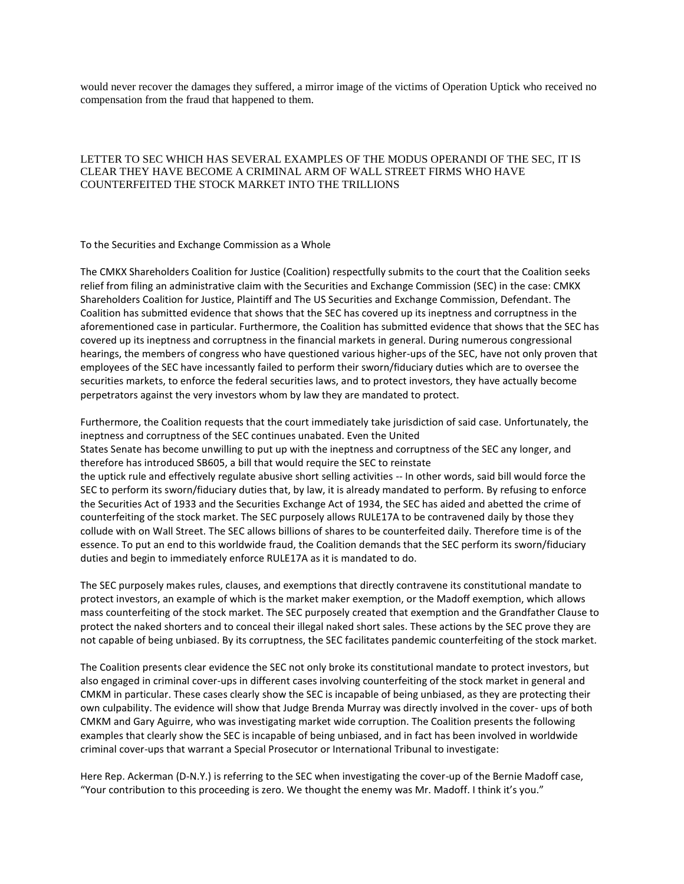would never recover the damages they suffered, a mirror image of the victims of Operation Uptick who received no compensation from the fraud that happened to them.

## LETTER TO SEC WHICH HAS SEVERAL EXAMPLES OF THE MODUS OPERANDI OF THE SEC, IT IS CLEAR THEY HAVE BECOME A CRIMINAL ARM OF WALL STREET FIRMS WHO HAVE COUNTERFEITED THE STOCK MARKET INTO THE TRILLIONS

To the Securities and Exchange Commission as a Whole

The CMKX Shareholders Coalition for Justice (Coalition) respectfully submits to the court that the Coalition seeks relief from filing an administrative claim with the Securities and Exchange Commission (SEC) in the case: CMKX Shareholders Coalition for Justice, Plaintiff and The US Securities and Exchange Commission, Defendant. The Coalition has submitted evidence that shows that the SEC has covered up its ineptness and corruptness in the aforementioned case in particular. Furthermore, the Coalition has submitted evidence that shows that the SEC has covered up its ineptness and corruptness in the financial markets in general. During numerous congressional hearings, the members of congress who have questioned various higher-ups of the SEC, have not only proven that employees of the SEC have incessantly failed to perform their sworn/fiduciary duties which are to oversee the securities markets, to enforce the federal securities laws, and to protect investors, they have actually become perpetrators against the very investors whom by law they are mandated to protect.

Furthermore, the Coalition requests that the court immediately take jurisdiction of said case. Unfortunately, the ineptness and corruptness of the SEC continues unabated. Even the United States Senate has become unwilling to put up with the ineptness and corruptness of the SEC any longer, and therefore has introduced SB605, a bill that would require the SEC to reinstate the uptick rule and effectively regulate abusive short selling activities -- In other words, said bill would force the SEC to perform its sworn/fiduciary duties that, by law, it is already mandated to perform. By refusing to enforce the Securities Act of 1933 and the Securities Exchange Act of 1934, the SEC has aided and abetted the crime of counterfeiting of the stock market. The SEC purposely allows RULE17A to be contravened daily by those they collude with on Wall Street. The SEC allows billions of shares to be counterfeited daily. Therefore time is of the essence. To put an end to this worldwide fraud, the Coalition demands that the SEC perform its sworn/fiduciary duties and begin to immediately enforce RULE17A as it is mandated to do.

The SEC purposely makes rules, clauses, and exemptions that directly contravene its constitutional mandate to protect investors, an example of which is the market maker exemption, or the Madoff exemption, which allows mass counterfeiting of the stock market. The SEC purposely created that exemption and the Grandfather Clause to protect the naked shorters and to conceal their illegal naked short sales. These actions by the SEC prove they are not capable of being unbiased. By its corruptness, the SEC facilitates pandemic counterfeiting of the stock market.

The Coalition presents clear evidence the SEC not only broke its constitutional mandate to protect investors, but also engaged in criminal cover-ups in different cases involving counterfeiting of the stock market in general and CMKM in particular. These cases clearly show the SEC is incapable of being unbiased, as they are protecting their own culpability. The evidence will show that Judge Brenda Murray was directly involved in the cover- ups of both CMKM and Gary Aguirre, who was investigating market wide corruption. The Coalition presents the following examples that clearly show the SEC is incapable of being unbiased, and in fact has been involved in worldwide criminal cover-ups that warrant a Special Prosecutor or International Tribunal to investigate:

Here Rep. Ackerman (D-N.Y.) is referring to the SEC when investigating the cover-up of the Bernie Madoff case, "Your contribution to this proceeding is zero. We thought the enemy was Mr. Madoff. I think it's you."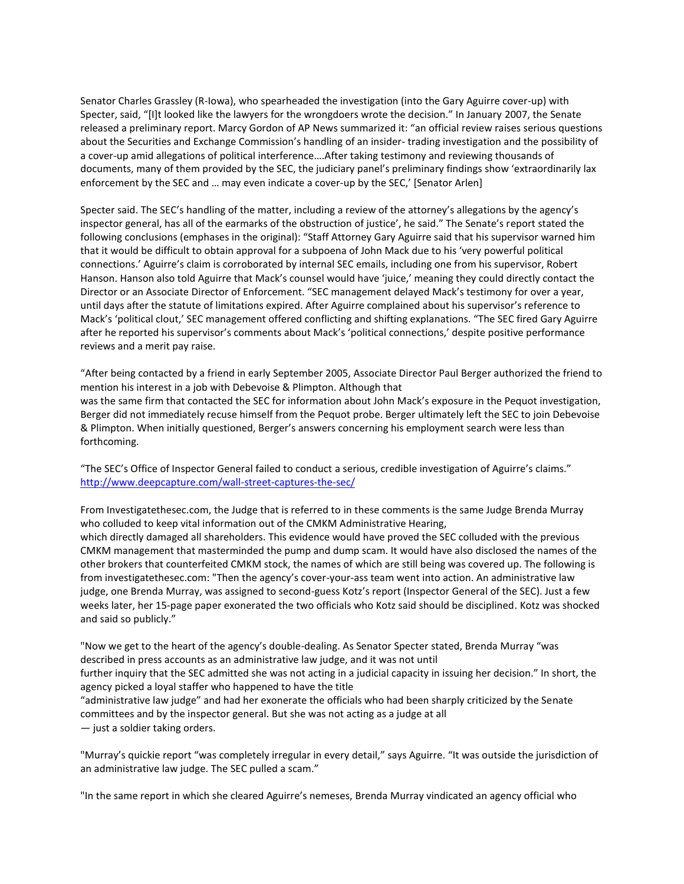Senator Charles Grassley (R-Iowa), who spearheaded the investigation (into the Gary Aguirre cover-up) with Specter, said, "[I]t looked like the lawyers for the wrongdoers wrote the decision." In January 2007, the Senate released a preliminary report. Marcy Gordon of AP News summarized it: "an official review raises serious questions about the Securities and Exchange Commission's handling of an insider- trading investigation and the possibility of a cover-up amid allegations of political interference….After taking testimony and reviewing thousands of documents, many of them provided by the SEC, the judiciary panel's preliminary findings show 'extraordinarily lax enforcement by the SEC and ... may even indicate a cover-up by the SEC,' [Senator Arlen]

Specter said. The SEC's handling of the matter, including a review of the attorney's allegations by the agency's inspector general, has all of the earmarks of the obstruction of justice', he said." The Senate's report stated the following conclusions (emphases in the original): "Staff Attorney Gary Aguirre said that his supervisor warned him that it would be difficult to obtain approval for a subpoena of John Mack due to his 'very powerful political connections.' Aguirre's claim is corroborated by internal SEC emails, including one from his supervisor, Robert Hanson. Hanson also told Aguirre that Mack's counsel would have 'juice,' meaning they could directly contact the Director or an Associate Director of Enforcement. "SEC management delayed Mack's testimony for over a year, until days after the statute of limitations expired. After Aguirre complained about his supervisor's reference to Mack's 'political clout,' SEC management offered conflicting and shifting explanations. "The SEC fired Gary Aguirre after he reported his supervisor's comments about Mack's 'political connections,' despite positive performance reviews and a merit pay raise.

"After being contacted by a friend in early September 2005, Associate Director Paul Berger authorized the friend to mention his interest in a job with Debevoise & Plimpton. Although that was the same firm that contacted the SEC for information about John Mack's exposure in the Pequot investigation, Berger did not immediately recuse himself from the Pequot probe. Berger ultimately left the SEC to join Debevoise & Plimpton. When initially questioned, Berger's answers concerning his employment search were less than forthcoming.

"The SEC's Office of Inspector General failed to conduct a serious, credible investigation of Aguirre's claims." <http://www.deepcapture.com/wall-street-captures-the-sec/>

From Investigatethesec.com, the Judge that is referred to in these comments is the same Judge Brenda Murray who colluded to keep vital information out of the CMKM Administrative Hearing,

which directly damaged all shareholders. This evidence would have proved the SEC colluded with the previous CMKM management that masterminded the pump and dump scam. It would have also disclosed the names of the other brokers that counterfeited CMKM stock, the names of which are still being was covered up. The following is from investigatethesec.com: "Then the agency's cover-your-ass team went into action. An administrative law judge, one Brenda Murray, was assigned to second-guess Kotz's report (Inspector General of the SEC). Just a few weeks later, her 15-page paper exonerated the two officials who Kotz said should be disciplined. Kotz was shocked and said so publicly."

"Now we get to the heart of the agency's double-dealing. As Senator Specter stated, Brenda Murray "was described in press accounts as an administrative law judge, and it was not until

further inquiry that the SEC admitted she was not acting in a judicial capacity in issuing her decision." In short, the agency picked a loyal staffer who happened to have the title

"administrative law judge" and had her exonerate the officials who had been sharply criticized by the Senate committees and by the inspector general. But she was not acting as a judge at all

— just a soldier taking orders.

"Murray's quickie report "was completely irregular in every detail," says Aguirre. "It was outside the jurisdiction of an administrative law judge. The SEC pulled a scam."

"In the same report in which she cleared Aguirre's nemeses, Brenda Murray vindicated an agency official who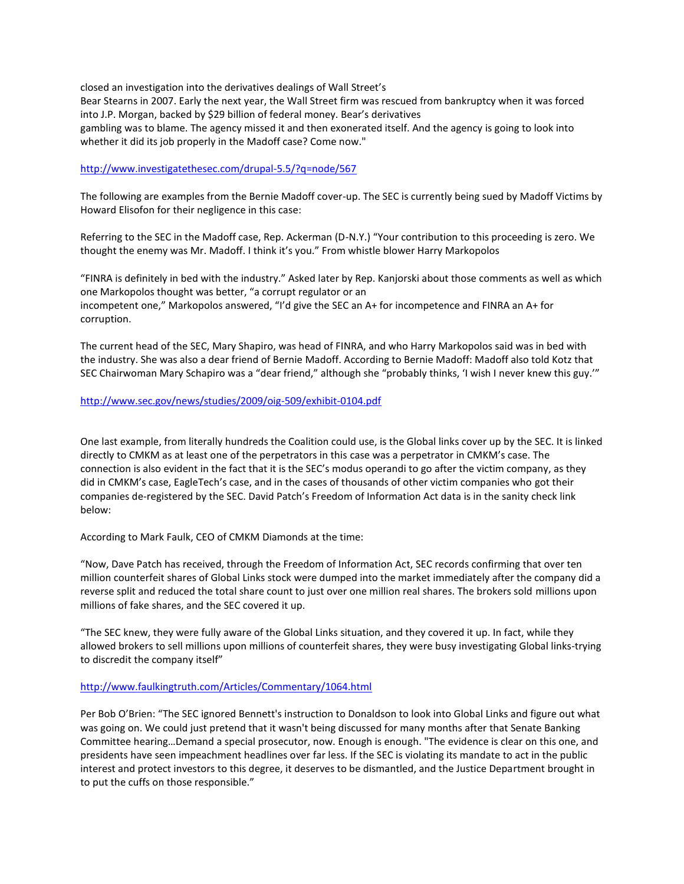closed an investigation into the derivatives dealings of Wall Street's Bear Stearns in 2007. Early the next year, the Wall Street firm was rescued from bankruptcy when it was forced into J.P. Morgan, backed by \$29 billion of federal money. Bear's derivatives gambling was to blame. The agency missed it and then exonerated itself. And the agency is going to look into whether it did its job properly in the Madoff case? Come now."

## <http://www.investigatethesec.com/drupal-5.5/?q=node/567>

The following are examples from the Bernie Madoff cover-up. The SEC is currently being sued by Madoff Victims by Howard Elisofon for their negligence in this case:

Referring to the SEC in the Madoff case, Rep. Ackerman (D-N.Y.) "Your contribution to this proceeding is zero. We thought the enemy was Mr. Madoff. I think it's you." From whistle blower Harry Markopolos

"FINRA is definitely in bed with the industry." Asked later by Rep. Kanjorski about those comments as well as which one Markopolos thought was better, "a corrupt regulator or an incompetent one," Markopolos answered, "I'd give the SEC an A+ for incompetence and FINRA an A+ for corruption.

The current head of the SEC, Mary Shapiro, was head of FINRA, and who Harry Markopolos said was in bed with the industry. She was also a dear friend of Bernie Madoff. According to Bernie Madoff: Madoff also told Kotz that SEC Chairwoman Mary Schapiro was a "dear friend," although she "probably thinks, 'I wish I never knew this guy.'"

#### <http://www.sec.gov/news/studies/2009/oig-509/exhibit-0104.pdf>

One last example, from literally hundreds the Coalition could use, is the Global links cover up by the SEC. It is linked directly to CMKM as at least one of the perpetrators in this case was a perpetrator in CMKM's case. The connection is also evident in the fact that it is the SEC's modus operandi to go after the victim company, as they did in CMKM's case, EagleTech's case, and in the cases of thousands of other victim companies who got their companies de-registered by the SEC. David Patch's Freedom of Information Act data is in the sanity check link below:

According to Mark Faulk, CEO of CMKM Diamonds at the time:

"Now, Dave Patch has received, through the Freedom of Information Act, SEC records confirming that over ten million counterfeit shares of Global Links stock were dumped into the market immediately after the company did a reverse split and reduced the total share count to just over one million real shares. The brokers sold millions upon millions of fake shares, and the SEC covered it up.

"The SEC knew, they were fully aware of the Global Links situation, and they covered it up. In fact, while they allowed brokers to sell millions upon millions of counterfeit shares, they were busy investigating Global links-trying to discredit the company itself"

# <http://www.faulkingtruth.com/Articles/Commentary/1064.html>

Per Bob O'Brien: "The SEC ignored Bennett's instruction to Donaldson to look into Global Links and figure out what was going on. We could just pretend that it wasn't being discussed for many months after that Senate Banking Committee hearing…Demand a special prosecutor, now. Enough is enough. "The evidence is clear on this one, and presidents have seen impeachment headlines over far less. If the SEC is violating its mandate to act in the public interest and protect investors to this degree, it deserves to be dismantled, and the Justice Department brought in to put the cuffs on those responsible."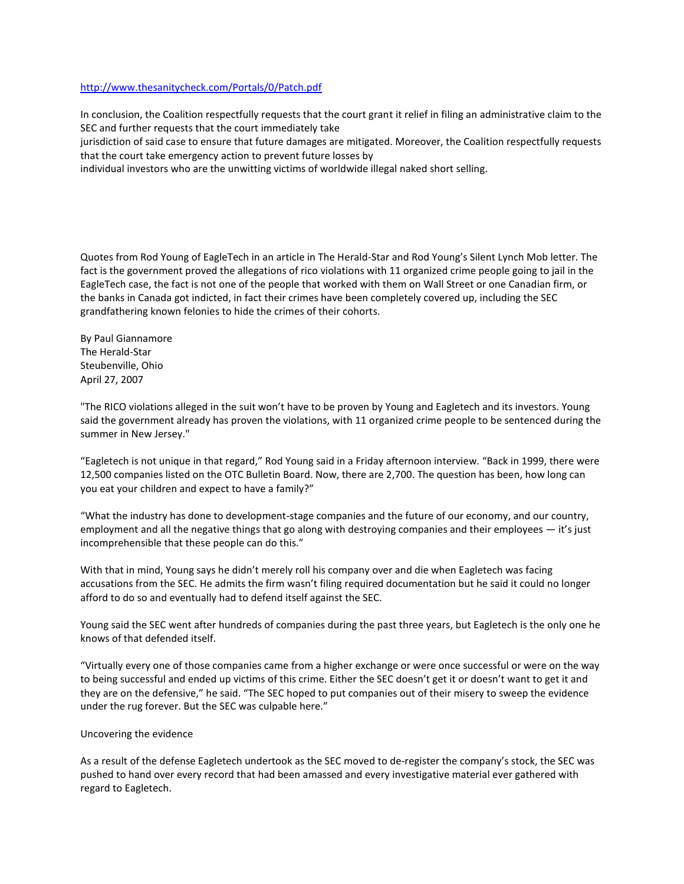## <http://www.thesanitycheck.com/Portals/0/Patch.pdf>

In conclusion, the Coalition respectfully requests that the court grant it relief in filing an administrative claim to the SEC and further requests that the court immediately take

jurisdiction of said case to ensure that future damages are mitigated. Moreover, the Coalition respectfully requests that the court take emergency action to prevent future losses by

individual investors who are the unwitting victims of worldwide illegal naked short selling.

Quotes from Rod Young of EagleTech in an article in The Herald-Star and Rod Young's Silent Lynch Mob letter. The fact is the government proved the allegations of rico violations with 11 organized crime people going to jail in the EagleTech case, the fact is not one of the people that worked with them on Wall Street or one Canadian firm, or the banks in Canada got indicted, in fact their crimes have been completely covered up, including the SEC grandfathering known felonies to hide the crimes of their cohorts.

By Paul Giannamore The Herald-Star Steubenville, Ohio April 27, 2007

"The RICO violations alleged in the suit won't have to be proven by Young and Eagletech and its investors. Young said the government already has proven the violations, with 11 organized crime people to be sentenced during the summer in New Jersey."

"Eagletech is not unique in that regard," Rod Young said in a Friday afternoon interview. "Back in 1999, there were 12,500 companies listed on the OTC Bulletin Board. Now, there are 2,700. The question has been, how long can you eat your children and expect to have a family?"

"What the industry has done to development-stage companies and the future of our economy, and our country, employment and all the negative things that go along with destroying companies and their employees — it's just incomprehensible that these people can do this."

With that in mind, Young says he didn't merely roll his company over and die when Eagletech was facing accusations from the SEC. He admits the firm wasn't filing required documentation but he said it could no longer afford to do so and eventually had to defend itself against the SEC.

Young said the SEC went after hundreds of companies during the past three years, but Eagletech is the only one he knows of that defended itself.

"Virtually every one of those companies came from a higher exchange or were once successful or were on the way to being successful and ended up victims of this crime. Either the SEC doesn't get it or doesn't want to get it and they are on the defensive," he said. "The SEC hoped to put companies out of their misery to sweep the evidence under the rug forever. But the SEC was culpable here."

#### Uncovering the evidence

As a result of the defense Eagletech undertook as the SEC moved to de-register the company's stock, the SEC was pushed to hand over every record that had been amassed and every investigative material ever gathered with regard to Eagletech.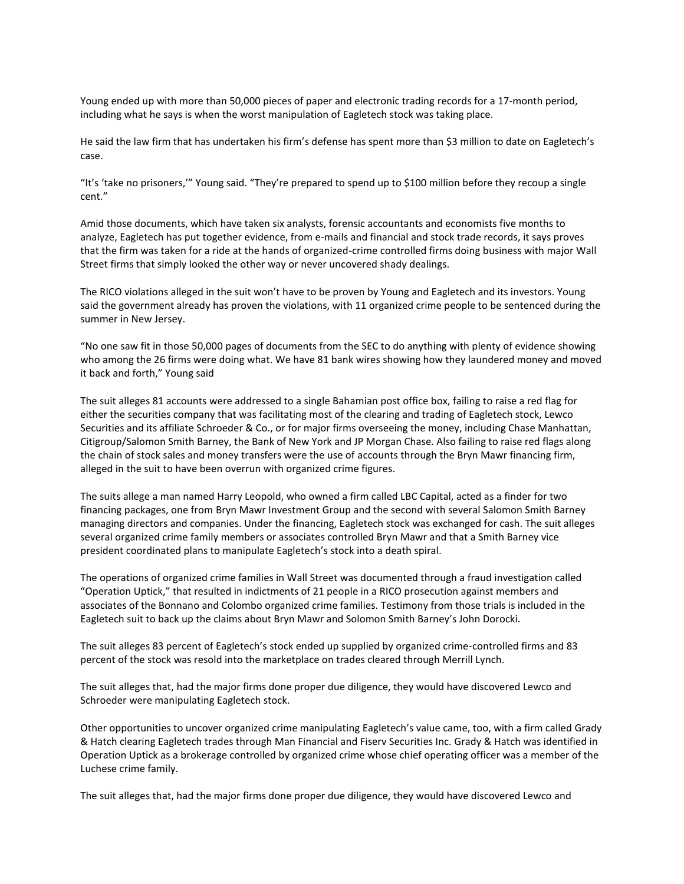Young ended up with more than 50,000 pieces of paper and electronic trading records for a 17-month period, including what he says is when the worst manipulation of Eagletech stock was taking place.

He said the law firm that has undertaken his firm's defense has spent more than \$3 million to date on Eagletech's case.

"It's 'take no prisoners,'" Young said. "They're prepared to spend up to \$100 million before they recoup a single cent."

Amid those documents, which have taken six analysts, forensic accountants and economists five months to analyze, Eagletech has put together evidence, from e-mails and financial and stock trade records, it says proves that the firm was taken for a ride at the hands of organized-crime controlled firms doing business with major Wall Street firms that simply looked the other way or never uncovered shady dealings.

The RICO violations alleged in the suit won't have to be proven by Young and Eagletech and its investors. Young said the government already has proven the violations, with 11 organized crime people to be sentenced during the summer in New Jersey.

"No one saw fit in those 50,000 pages of documents from the SEC to do anything with plenty of evidence showing who among the 26 firms were doing what. We have 81 bank wires showing how they laundered money and moved it back and forth," Young said

The suit alleges 81 accounts were addressed to a single Bahamian post office box, failing to raise a red flag for either the securities company that was facilitating most of the clearing and trading of Eagletech stock, Lewco Securities and its affiliate Schroeder & Co., or for major firms overseeing the money, including Chase Manhattan, Citigroup/Salomon Smith Barney, the Bank of New York and JP Morgan Chase. Also failing to raise red flags along the chain of stock sales and money transfers were the use of accounts through the Bryn Mawr financing firm, alleged in the suit to have been overrun with organized crime figures.

The suits allege a man named Harry Leopold, who owned a firm called LBC Capital, acted as a finder for two financing packages, one from Bryn Mawr Investment Group and the second with several Salomon Smith Barney managing directors and companies. Under the financing, Eagletech stock was exchanged for cash. The suit alleges several organized crime family members or associates controlled Bryn Mawr and that a Smith Barney vice president coordinated plans to manipulate Eagletech's stock into a death spiral.

The operations of organized crime families in Wall Street was documented through a fraud investigation called "Operation Uptick," that resulted in indictments of 21 people in a RICO prosecution against members and associates of the Bonnano and Colombo organized crime families. Testimony from those trials is included in the Eagletech suit to back up the claims about Bryn Mawr and Solomon Smith Barney's John Dorocki.

The suit alleges 83 percent of Eagletech's stock ended up supplied by organized crime-controlled firms and 83 percent of the stock was resold into the marketplace on trades cleared through Merrill Lynch.

The suit alleges that, had the major firms done proper due diligence, they would have discovered Lewco and Schroeder were manipulating Eagletech stock.

Other opportunities to uncover organized crime manipulating Eagletech's value came, too, with a firm called Grady & Hatch clearing Eagletech trades through Man Financial and Fiserv Securities Inc. Grady & Hatch was identified in Operation Uptick as a brokerage controlled by organized crime whose chief operating officer was a member of the Luchese crime family.

The suit alleges that, had the major firms done proper due diligence, they would have discovered Lewco and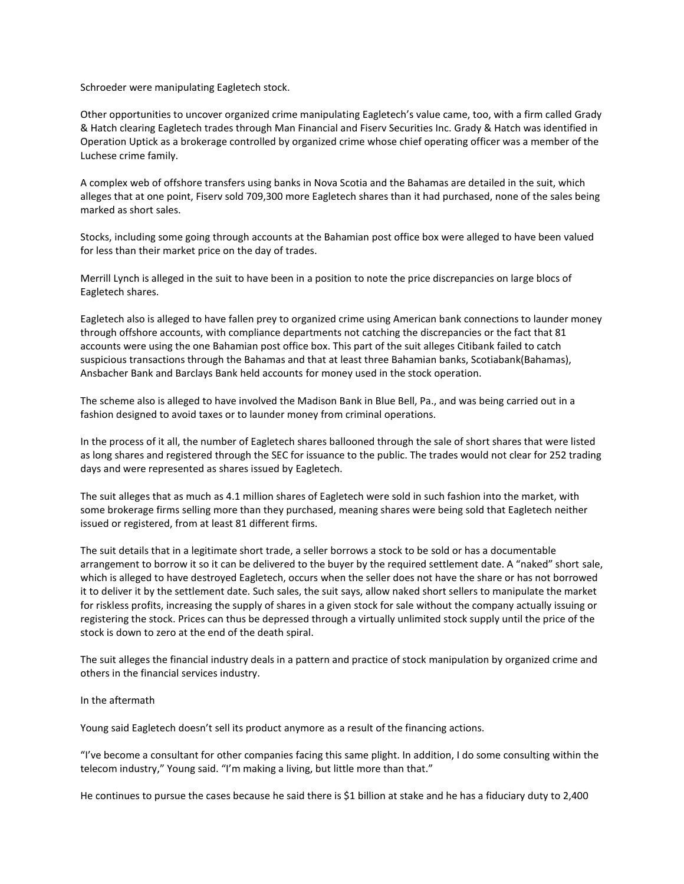Schroeder were manipulating Eagletech stock.

Other opportunities to uncover organized crime manipulating Eagletech's value came, too, with a firm called Grady & Hatch clearing Eagletech trades through Man Financial and Fiserv Securities Inc. Grady & Hatch was identified in Operation Uptick as a brokerage controlled by organized crime whose chief operating officer was a member of the Luchese crime family.

A complex web of offshore transfers using banks in Nova Scotia and the Bahamas are detailed in the suit, which alleges that at one point, Fiserv sold 709,300 more Eagletech shares than it had purchased, none of the sales being marked as short sales.

Stocks, including some going through accounts at the Bahamian post office box were alleged to have been valued for less than their market price on the day of trades.

Merrill Lynch is alleged in the suit to have been in a position to note the price discrepancies on large blocs of Eagletech shares.

Eagletech also is alleged to have fallen prey to organized crime using American bank connections to launder money through offshore accounts, with compliance departments not catching the discrepancies or the fact that 81 accounts were using the one Bahamian post office box. This part of the suit alleges Citibank failed to catch suspicious transactions through the Bahamas and that at least three Bahamian banks, Scotiabank(Bahamas), Ansbacher Bank and Barclays Bank held accounts for money used in the stock operation.

The scheme also is alleged to have involved the Madison Bank in Blue Bell, Pa., and was being carried out in a fashion designed to avoid taxes or to launder money from criminal operations.

In the process of it all, the number of Eagletech shares ballooned through the sale of short shares that were listed as long shares and registered through the SEC for issuance to the public. The trades would not clear for 252 trading days and were represented as shares issued by Eagletech.

The suit alleges that as much as 4.1 million shares of Eagletech were sold in such fashion into the market, with some brokerage firms selling more than they purchased, meaning shares were being sold that Eagletech neither issued or registered, from at least 81 different firms.

The suit details that in a legitimate short trade, a seller borrows a stock to be sold or has a documentable arrangement to borrow it so it can be delivered to the buyer by the required settlement date. A "naked" short sale, which is alleged to have destroyed Eagletech, occurs when the seller does not have the share or has not borrowed it to deliver it by the settlement date. Such sales, the suit says, allow naked short sellers to manipulate the market for riskless profits, increasing the supply of shares in a given stock for sale without the company actually issuing or registering the stock. Prices can thus be depressed through a virtually unlimited stock supply until the price of the stock is down to zero at the end of the death spiral.

The suit alleges the financial industry deals in a pattern and practice of stock manipulation by organized crime and others in the financial services industry.

#### In the aftermath

Young said Eagletech doesn't sell its product anymore as a result of the financing actions.

"I've become a consultant for other companies facing this same plight. In addition, I do some consulting within the telecom industry," Young said. "I'm making a living, but little more than that."

He continues to pursue the cases because he said there is \$1 billion at stake and he has a fiduciary duty to 2,400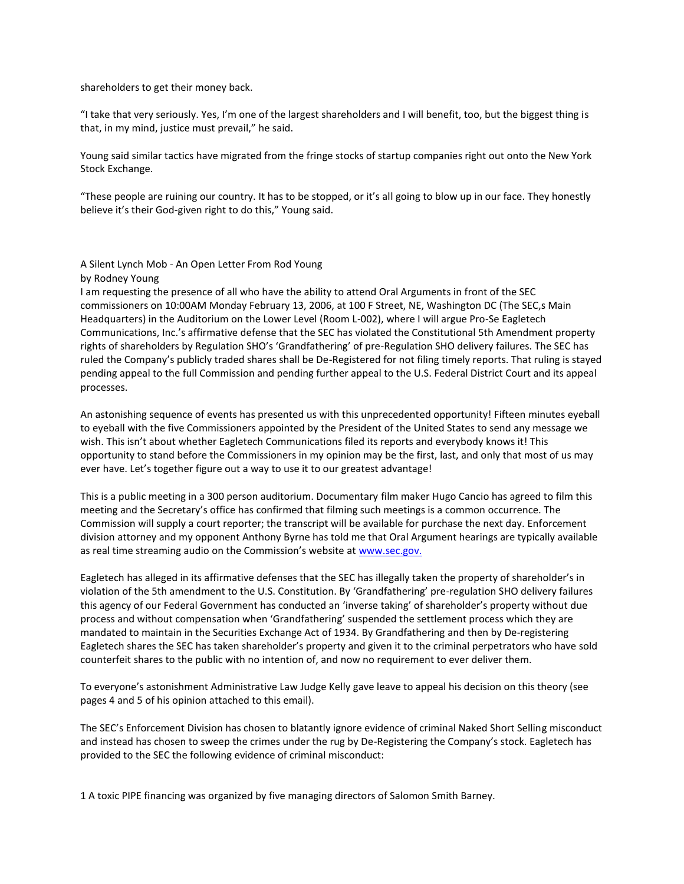shareholders to get their money back.

"I take that very seriously. Yes, I'm one of the largest shareholders and I will benefit, too, but the biggest thing is that, in my mind, justice must prevail," he said.

Young said similar tactics have migrated from the fringe stocks of startup companies right out onto the New York Stock Exchange.

"These people are ruining our country. It has to be stopped, or it's all going to blow up in our face. They honestly believe it's their God-given right to do this," Young said.

A Silent Lynch Mob - An Open Letter From Rod Young by Rodney Young

I am requesting the presence of all who have the ability to attend Oral Arguments in front of the SEC commissioners on 10:00AM Monday February 13, 2006, at 100 F Street, NE, Washington DC (The SEC,s Main Headquarters) in the Auditorium on the Lower Level (Room L-002), where I will argue Pro-Se Eagletech Communications, Inc.'s affirmative defense that the SEC has violated the Constitutional 5th Amendment property rights of shareholders by Regulation SHO's 'Grandfathering' of pre-Regulation SHO delivery failures. The SEC has ruled the Company's publicly traded shares shall be De-Registered for not filing timely reports. That ruling is stayed pending appeal to the full Commission and pending further appeal to the U.S. Federal District Court and its appeal processes.

An astonishing sequence of events has presented us with this unprecedented opportunity! Fifteen minutes eyeball to eyeball with the five Commissioners appointed by the President of the United States to send any message we wish. This isn't about whether Eagletech Communications filed its reports and everybody knows it! This opportunity to stand before the Commissioners in my opinion may be the first, last, and only that most of us may ever have. Let's together figure out a way to use it to our greatest advantage!

This is a public meeting in a 300 person auditorium. Documentary film maker Hugo Cancio has agreed to film this meeting and the Secretary's office has confirmed that filming such meetings is a common occurrence. The Commission will supply a court reporter; the transcript will be available for purchase the next day. Enforcement division attorney and my opponent Anthony Byrne has told me that Oral Argument hearings are typically available as real time streaming audio on the Commission's website at [www.sec.gov.](http://www.sec.gov./)

Eagletech has alleged in its affirmative defenses that the SEC has illegally taken the property of shareholder's in violation of the 5th amendment to the U.S. Constitution. By 'Grandfathering' pre-regulation SHO delivery failures this agency of our Federal Government has conducted an 'inverse taking' of shareholder's property without due process and without compensation when 'Grandfathering' suspended the settlement process which they are mandated to maintain in the Securities Exchange Act of 1934. By Grandfathering and then by De-registering Eagletech shares the SEC has taken shareholder's property and given it to the criminal perpetrators who have sold counterfeit shares to the public with no intention of, and now no requirement to ever deliver them.

To everyone's astonishment Administrative Law Judge Kelly gave leave to appeal his decision on this theory (see pages 4 and 5 of his opinion attached to this email).

The SEC's Enforcement Division has chosen to blatantly ignore evidence of criminal Naked Short Selling misconduct and instead has chosen to sweep the crimes under the rug by De-Registering the Company's stock. Eagletech has provided to the SEC the following evidence of criminal misconduct:

1 A toxic PIPE financing was organized by five managing directors of Salomon Smith Barney.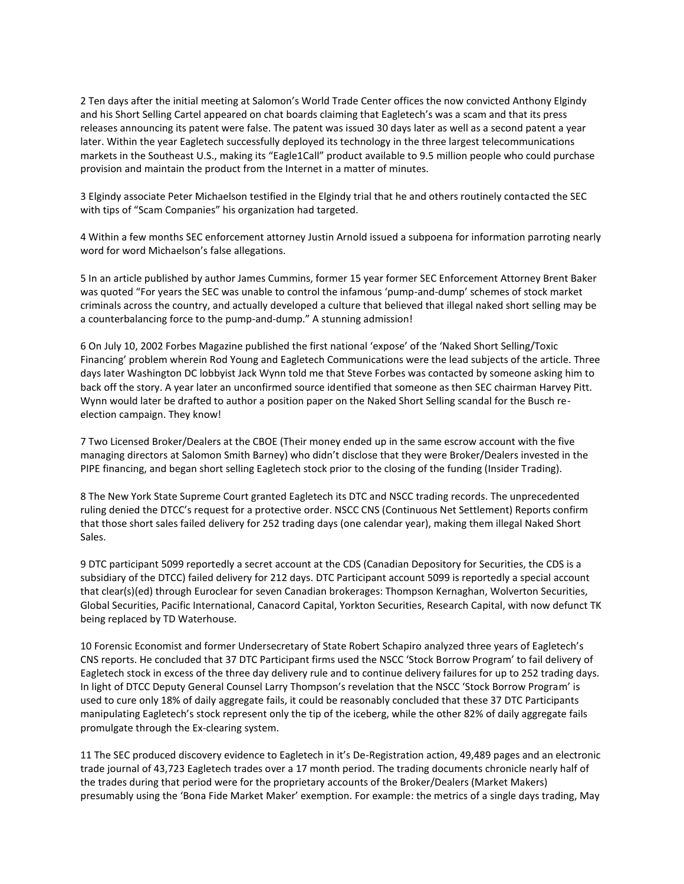2 Ten days after the initial meeting at Salomon's World Trade Center offices the now convicted Anthony Elgindy and his Short Selling Cartel appeared on chat boards claiming that Eagletech's was a scam and that its press releases announcing its patent were false. The patent was issued 30 days later as well as a second patent a year later. Within the year Eagletech successfully deployed its technology in the three largest telecommunications markets in the Southeast U.S., making its "Eagle1Call" product available to 9.5 million people who could purchase provision and maintain the product from the Internet in a matter of minutes.

3 Elgindy associate Peter Michaelson testified in the Elgindy trial that he and others routinely contacted the SEC with tips of "Scam Companies" his organization had targeted.

4 Within a few months SEC enforcement attorney Justin Arnold issued a subpoena for information parroting nearly word for word Michaelson's false allegations.

5 In an article published by author James Cummins, former 15 year former SEC Enforcement Attorney Brent Baker was quoted "For years the SEC was unable to control the infamous 'pump-and-dump' schemes of stock market criminals across the country, and actually developed a culture that believed that illegal naked short selling may be a counterbalancing force to the pump-and-dump." A stunning admission!

6 On July 10, 2002 Forbes Magazine published the first national 'expose' of the 'Naked Short Selling/Toxic Financing' problem wherein Rod Young and Eagletech Communications were the lead subjects of the article. Three days later Washington DC lobbyist Jack Wynn told me that Steve Forbes was contacted by someone asking him to back off the story. A year later an unconfirmed source identified that someone as then SEC chairman Harvey Pitt. Wynn would later be drafted to author a position paper on the Naked Short Selling scandal for the Busch reelection campaign. They know!

7 Two Licensed Broker/Dealers at the CBOE (Their money ended up in the same escrow account with the five managing directors at Salomon Smith Barney) who didn't disclose that they were Broker/Dealers invested in the PIPE financing, and began short selling Eagletech stock prior to the closing of the funding (Insider Trading).

8 The New York State Supreme Court granted Eagletech its DTC and NSCC trading records. The unprecedented ruling denied the DTCC's request for a protective order. NSCC CNS (Continuous Net Settlement) Reports confirm that those short sales failed delivery for 252 trading days (one calendar year), making them illegal Naked Short Sales.

9 DTC participant 5099 reportedly a secret account at the CDS (Canadian Depository for Securities, the CDS is a subsidiary of the DTCC) failed delivery for 212 days. DTC Participant account 5099 is reportedly a special account that clear(s)(ed) through Euroclear for seven Canadian brokerages: Thompson Kernaghan, Wolverton Securities, Global Securities, Pacific International, Canacord Capital, Yorkton Securities, Research Capital, with now defunct TK being replaced by TD Waterhouse.

10 Forensic Economist and former Undersecretary of State Robert Schapiro analyzed three years of Eagletech's CNS reports. He concluded that 37 DTC Participant firms used the NSCC 'Stock Borrow Program' to fail delivery of Eagletech stock in excess of the three day delivery rule and to continue delivery failures for up to 252 trading days. In light of DTCC Deputy General Counsel Larry Thompson's revelation that the NSCC 'Stock Borrow Program' is used to cure only 18% of daily aggregate fails, it could be reasonably concluded that these 37 DTC Participants manipulating Eagletech's stock represent only the tip of the iceberg, while the other 82% of daily aggregate fails promulgate through the Ex-clearing system.

11 The SEC produced discovery evidence to Eagletech in it's De-Registration action, 49,489 pages and an electronic trade journal of 43,723 Eagletech trades over a 17 month period. The trading documents chronicle nearly half of the trades during that period were for the proprietary accounts of the Broker/Dealers (Market Makers) presumably using the 'Bona Fide Market Maker' exemption. For example: the metrics of a single days trading, May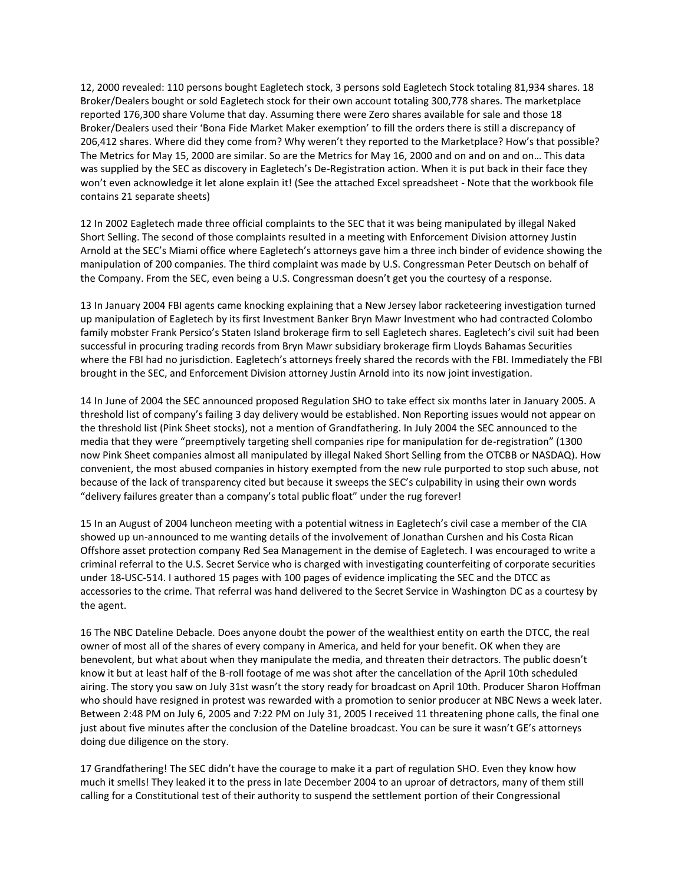12, 2000 revealed: 110 persons bought Eagletech stock, 3 persons sold Eagletech Stock totaling 81,934 shares. 18 Broker/Dealers bought or sold Eagletech stock for their own account totaling 300,778 shares. The marketplace reported 176,300 share Volume that day. Assuming there were Zero shares available for sale and those 18 Broker/Dealers used their 'Bona Fide Market Maker exemption' to fill the orders there is still a discrepancy of 206,412 shares. Where did they come from? Why weren't they reported to the Marketplace? How's that possible? The Metrics for May 15, 2000 are similar. So are the Metrics for May 16, 2000 and on and on and on… This data was supplied by the SEC as discovery in Eagletech's De-Registration action. When it is put back in their face they won't even acknowledge it let alone explain it! (See the attached Excel spreadsheet - Note that the workbook file contains 21 separate sheets)

12 In 2002 Eagletech made three official complaints to the SEC that it was being manipulated by illegal Naked Short Selling. The second of those complaints resulted in a meeting with Enforcement Division attorney Justin Arnold at the SEC's Miami office where Eagletech's attorneys gave him a three inch binder of evidence showing the manipulation of 200 companies. The third complaint was made by U.S. Congressman Peter Deutsch on behalf of the Company. From the SEC, even being a U.S. Congressman doesn't get you the courtesy of a response.

13 In January 2004 FBI agents came knocking explaining that a New Jersey labor racketeering investigation turned up manipulation of Eagletech by its first Investment Banker Bryn Mawr Investment who had contracted Colombo family mobster Frank Persico's Staten Island brokerage firm to sell Eagletech shares. Eagletech's civil suit had been successful in procuring trading records from Bryn Mawr subsidiary brokerage firm Lloyds Bahamas Securities where the FBI had no jurisdiction. Eagletech's attorneys freely shared the records with the FBI. Immediately the FBI brought in the SEC, and Enforcement Division attorney Justin Arnold into its now joint investigation.

14 In June of 2004 the SEC announced proposed Regulation SHO to take effect six months later in January 2005. A threshold list of company's failing 3 day delivery would be established. Non Reporting issues would not appear on the threshold list (Pink Sheet stocks), not a mention of Grandfathering. In July 2004 the SEC announced to the media that they were "preemptively targeting shell companies ripe for manipulation for de-registration" (1300 now Pink Sheet companies almost all manipulated by illegal Naked Short Selling from the OTCBB or NASDAQ). How convenient, the most abused companies in history exempted from the new rule purported to stop such abuse, not because of the lack of transparency cited but because it sweeps the SEC's culpability in using their own words "delivery failures greater than a company's total public float" under the rug forever!

15 In an August of 2004 luncheon meeting with a potential witness in Eagletech's civil case a member of the CIA showed up un-announced to me wanting details of the involvement of Jonathan Curshen and his Costa Rican Offshore asset protection company Red Sea Management in the demise of Eagletech. I was encouraged to write a criminal referral to the U.S. Secret Service who is charged with investigating counterfeiting of corporate securities under 18-USC-514. I authored 15 pages with 100 pages of evidence implicating the SEC and the DTCC as accessories to the crime. That referral was hand delivered to the Secret Service in Washington DC as a courtesy by the agent.

16 The NBC Dateline Debacle. Does anyone doubt the power of the wealthiest entity on earth the DTCC, the real owner of most all of the shares of every company in America, and held for your benefit. OK when they are benevolent, but what about when they manipulate the media, and threaten their detractors. The public doesn't know it but at least half of the B-roll footage of me was shot after the cancellation of the April 10th scheduled airing. The story you saw on July 31st wasn't the story ready for broadcast on April 10th. Producer Sharon Hoffman who should have resigned in protest was rewarded with a promotion to senior producer at NBC News a week later. Between 2:48 PM on July 6, 2005 and 7:22 PM on July 31, 2005 I received 11 threatening phone calls, the final one just about five minutes after the conclusion of the Dateline broadcast. You can be sure it wasn't GE's attorneys doing due diligence on the story.

17 Grandfathering! The SEC didn't have the courage to make it a part of regulation SHO. Even they know how much it smells! They leaked it to the press in late December 2004 to an uproar of detractors, many of them still calling for a Constitutional test of their authority to suspend the settlement portion of their Congressional